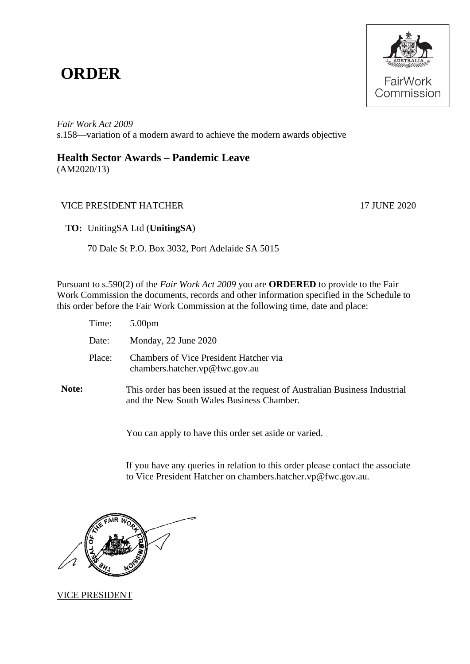# **ORDER**



*Fair Work Act 2009*  s.158—variation of a modern award to achieve the modern awards objective

# **Health Sector Awards – Pandemic Leave**

(AM2020/13)

## VICE PRESIDENT HATCHER 17 JUNE 2020

**TO:** UnitingSA Ltd (**UnitingSA**)

70 Dale St P.O. Box 3032, Port Adelaide SA 5015

Pursuant to s.590(2) of the *Fair Work Act 2009* you are **ORDERED** to provide to the Fair Work Commission the documents, records and other information specified in the Schedule to this order before the Fair Work Commission at the following time, date and place:

|              | Time:  | 5.00 <sub>pm</sub>                                                                                                       |
|--------------|--------|--------------------------------------------------------------------------------------------------------------------------|
|              | Date:  | Monday, 22 June 2020                                                                                                     |
|              | Place: | Chambers of Vice President Hatcher via<br>chambers.hatcher.vp@fwc.gov.au                                                 |
| <b>Note:</b> |        | This order has been issued at the request of Australian Business Industrial<br>and the New South Wales Business Chamber. |

You can apply to have this order set aside or varied.

If you have any queries in relation to this order please contact the associate to Vice President Hatcher on chambers.hatcher.vp@fwc.gov.au.



#### VICE PRESIDENT